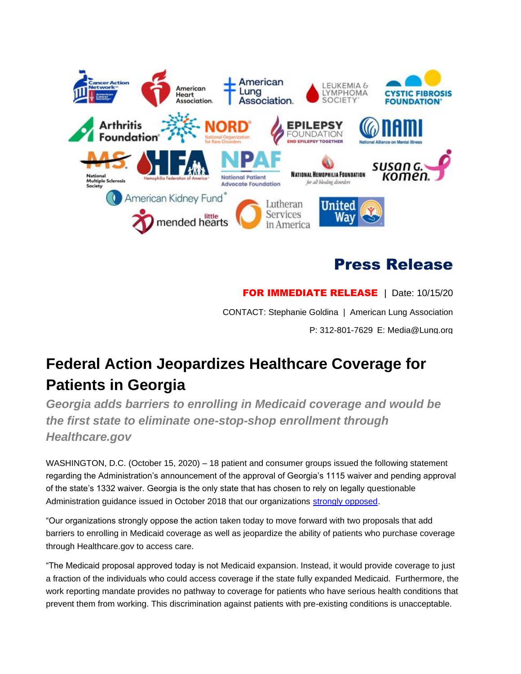

## Press Release

**FOR IMMEDIATE RELEASE** | Date: 10/15/20 CONTACT: Stephanie Goldina | American Lung Association P: 312-801-7629 E: Media@Lung.org

## **Federal Action Jeopardizes Healthcare Coverage for Patients in Georgia**

*Georgia adds barriers to enrolling in Medicaid coverage and would be the first state to eliminate one-stop-shop enrollment through Healthcare.gov*

WASHINGTON, D.C. (October 15, 2020) – 18 patient and consumer groups issued the following statement regarding the Administration's announcement of the approval of Georgia's 1115 waiver and pending approval of the state's 1332 waiver. Georgia is the only state that has chosen to rely on legally questionable Administration guidance issued in October 2018 that our organizations [strongly opposed.](https://www.lung.org/getmedia/fd7ca753-c9f3-4db5-83a1-14732cdaa6ef/health-partner-comments-re-2.pdf)

"Our organizations strongly oppose the action taken today to move forward with two proposals that add barriers to enrolling in Medicaid coverage as well as jeopardize the ability of patients who purchase coverage through Healthcare.gov to access care.

"The Medicaid proposal approved today is not Medicaid expansion. Instead, it would provide coverage to just a fraction of the individuals who could access coverage if the state fully expanded Medicaid. Furthermore, the work reporting mandate provides no pathway to coverage for patients who have serious health conditions that prevent them from working. This discrimination against patients with pre-existing conditions is unacceptable.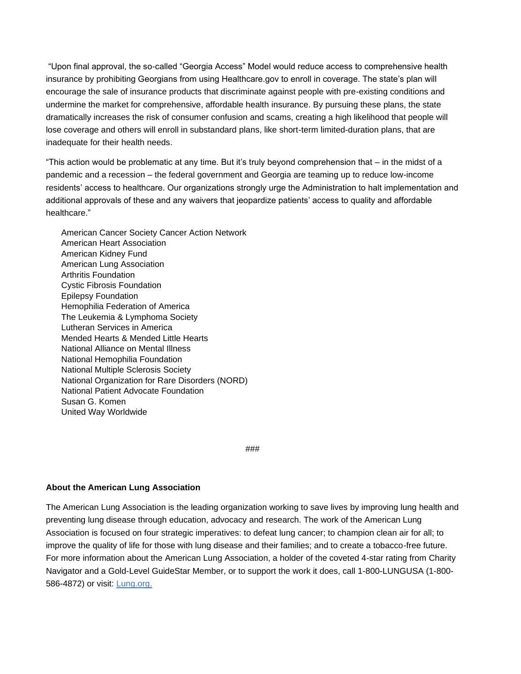"Upon final approval, the so-called "Georgia Access" Model would reduce access to comprehensive health insurance by prohibiting Georgians from using Healthcare.gov to enroll in coverage. The state's plan will encourage the sale of insurance products that discriminate against people with pre-existing conditions and undermine the market for comprehensive, affordable health insurance. By pursuing these plans, the state dramatically increases the risk of consumer confusion and scams, creating a high likelihood that people will lose coverage and others will enroll in substandard plans, like short-term limited-duration plans, that are inadequate for their health needs.

"This action would be problematic at any time. But it's truly beyond comprehension that – in the midst of a pandemic and a recession – the federal government and Georgia are teaming up to reduce low-income residents' access to healthcare. Our organizations strongly urge the Administration to halt implementation and additional approvals of these and any waivers that jeopardize patients' access to quality and affordable healthcare."

American Cancer Society Cancer Action Network American Heart Association American Kidney Fund American Lung Association Arthritis Foundation Cystic Fibrosis Foundation Epilepsy Foundation Hemophilia Federation of America The Leukemia & Lymphoma Society Lutheran Services in America Mended Hearts & Mended Little Hearts National Alliance on Mental Illness National Hemophilia Foundation National Multiple Sclerosis Society National Organization for Rare Disorders (NORD) National Patient Advocate Foundation Susan G. Komen United Way Worldwide

###

## **About the American Lung Association**

The American Lung Association is the leading organization working to save lives by improving lung health and preventing lung disease through education, advocacy and research. The work of the American Lung Association is focused on four strategic imperatives: to defeat lung cancer; to champion clean air for all; to improve the quality of life for those with lung disease and their families; and to create a tobacco-free future. For more information about the American Lung Association, a holder of the coveted 4-star rating from Charity Navigator and a Gold-Level GuideStar Member, or to support the work it does, call 1-800-LUNGUSA (1-800- 586-4872) or visit: [Lung.org.](http://lung.org./)